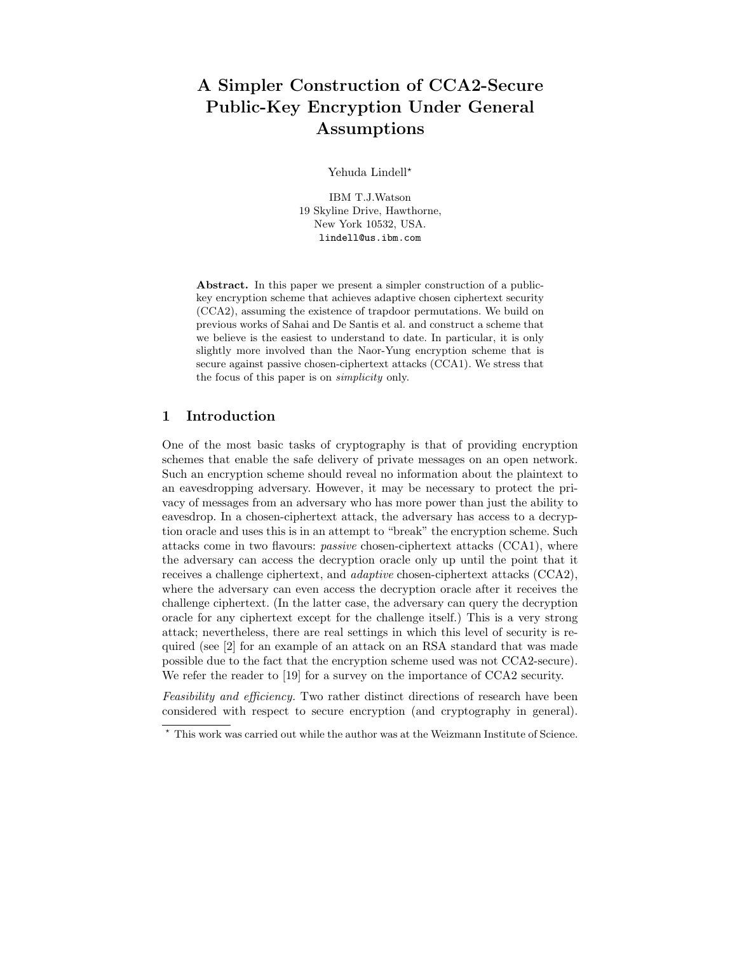# A Simpler Construction of CCA2-Secure Public-Key Encryption Under General Assumptions

Yehuda Lindell\*

IBM T.J.Watson 19 Skyline Drive, Hawthorne, New York 10532, USA. lindell@us.ibm.com

Abstract. In this paper we present a simpler construction of a publickey encryption scheme that achieves adaptive chosen ciphertext security (CCA2), assuming the existence of trapdoor permutations. We build on previous works of Sahai and De Santis et al. and construct a scheme that we believe is the easiest to understand to date. In particular, it is only slightly more involved than the Naor-Yung encryption scheme that is secure against passive chosen-ciphertext attacks (CCA1). We stress that the focus of this paper is on simplicity only.

# 1 Introduction

One of the most basic tasks of cryptography is that of providing encryption schemes that enable the safe delivery of private messages on an open network. Such an encryption scheme should reveal no information about the plaintext to an eavesdropping adversary. However, it may be necessary to protect the privacy of messages from an adversary who has more power than just the ability to eavesdrop. In a chosen-ciphertext attack, the adversary has access to a decryption oracle and uses this is in an attempt to "break" the encryption scheme. Such attacks come in two flavours: passive chosen-ciphertext attacks (CCA1), where the adversary can access the decryption oracle only up until the point that it receives a challenge ciphertext, and adaptive chosen-ciphertext attacks (CCA2), where the adversary can even access the decryption oracle after it receives the challenge ciphertext. (In the latter case, the adversary can query the decryption oracle for any ciphertext except for the challenge itself.) This is a very strong attack; nevertheless, there are real settings in which this level of security is required (see [2] for an example of an attack on an RSA standard that was made possible due to the fact that the encryption scheme used was not CCA2-secure). We refer the reader to [19] for a survey on the importance of CCA2 security.

Feasibility and efficiency. Two rather distinct directions of research have been considered with respect to secure encryption (and cryptography in general).

<sup>?</sup> This work was carried out while the author was at the Weizmann Institute of Science.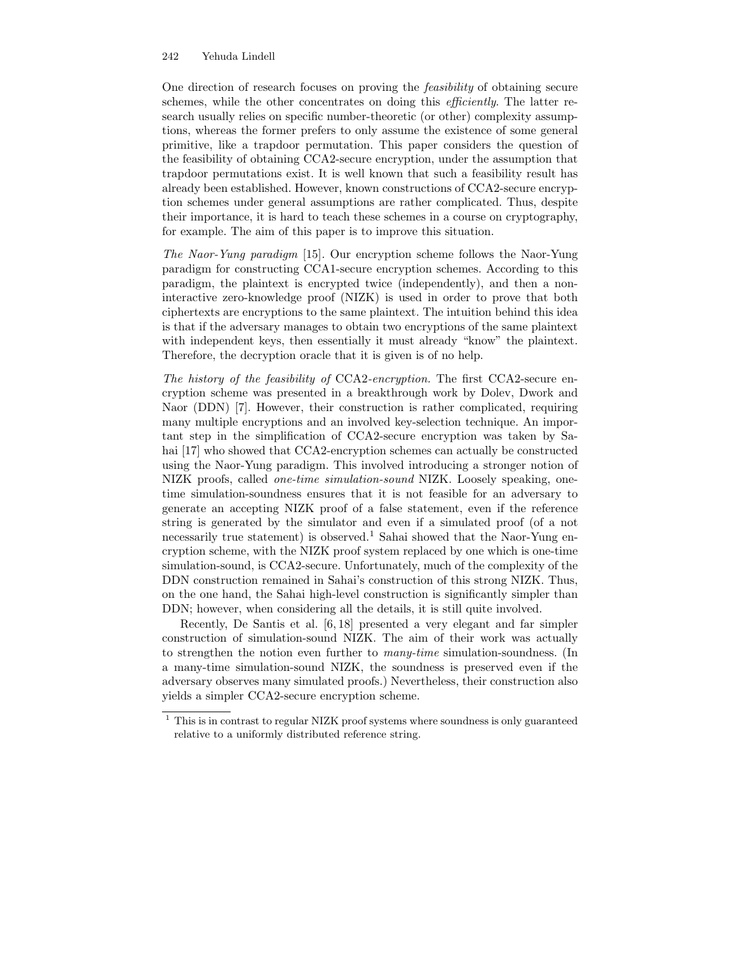#### 242 Yehuda Lindell

One direction of research focuses on proving the feasibility of obtaining secure schemes, while the other concentrates on doing this efficiently. The latter research usually relies on specific number-theoretic (or other) complexity assumptions, whereas the former prefers to only assume the existence of some general primitive, like a trapdoor permutation. This paper considers the question of the feasibility of obtaining CCA2-secure encryption, under the assumption that trapdoor permutations exist. It is well known that such a feasibility result has already been established. However, known constructions of CCA2-secure encryption schemes under general assumptions are rather complicated. Thus, despite their importance, it is hard to teach these schemes in a course on cryptography, for example. The aim of this paper is to improve this situation.

The Naor-Yung paradigm [15]. Our encryption scheme follows the Naor-Yung paradigm for constructing CCA1-secure encryption schemes. According to this paradigm, the plaintext is encrypted twice (independently), and then a noninteractive zero-knowledge proof (NIZK) is used in order to prove that both ciphertexts are encryptions to the same plaintext. The intuition behind this idea is that if the adversary manages to obtain two encryptions of the same plaintext with independent keys, then essentially it must already "know" the plaintext. Therefore, the decryption oracle that it is given is of no help.

The history of the feasibility of CCA2-encryption. The first CCA2-secure encryption scheme was presented in a breakthrough work by Dolev, Dwork and Naor (DDN) [7]. However, their construction is rather complicated, requiring many multiple encryptions and an involved key-selection technique. An important step in the simplification of CCA2-secure encryption was taken by Sahai [17] who showed that CCA2-encryption schemes can actually be constructed using the Naor-Yung paradigm. This involved introducing a stronger notion of NIZK proofs, called one-time simulation-sound NIZK. Loosely speaking, onetime simulation-soundness ensures that it is not feasible for an adversary to generate an accepting NIZK proof of a false statement, even if the reference string is generated by the simulator and even if a simulated proof (of a not necessarily true statement) is observed.<sup>1</sup> Sahai showed that the Naor-Yung encryption scheme, with the NIZK proof system replaced by one which is one-time simulation-sound, is CCA2-secure. Unfortunately, much of the complexity of the DDN construction remained in Sahai's construction of this strong NIZK. Thus, on the one hand, the Sahai high-level construction is significantly simpler than DDN; however, when considering all the details, it is still quite involved.

Recently, De Santis et al. [6, 18] presented a very elegant and far simpler construction of simulation-sound NIZK. The aim of their work was actually to strengthen the notion even further to many-time simulation-soundness. (In a many-time simulation-sound NIZK, the soundness is preserved even if the adversary observes many simulated proofs.) Nevertheless, their construction also yields a simpler CCA2-secure encryption scheme.

 $^{\rm 1}$  This is in contrast to regular NIZK proof systems where soundness is only guaranteed relative to a uniformly distributed reference string.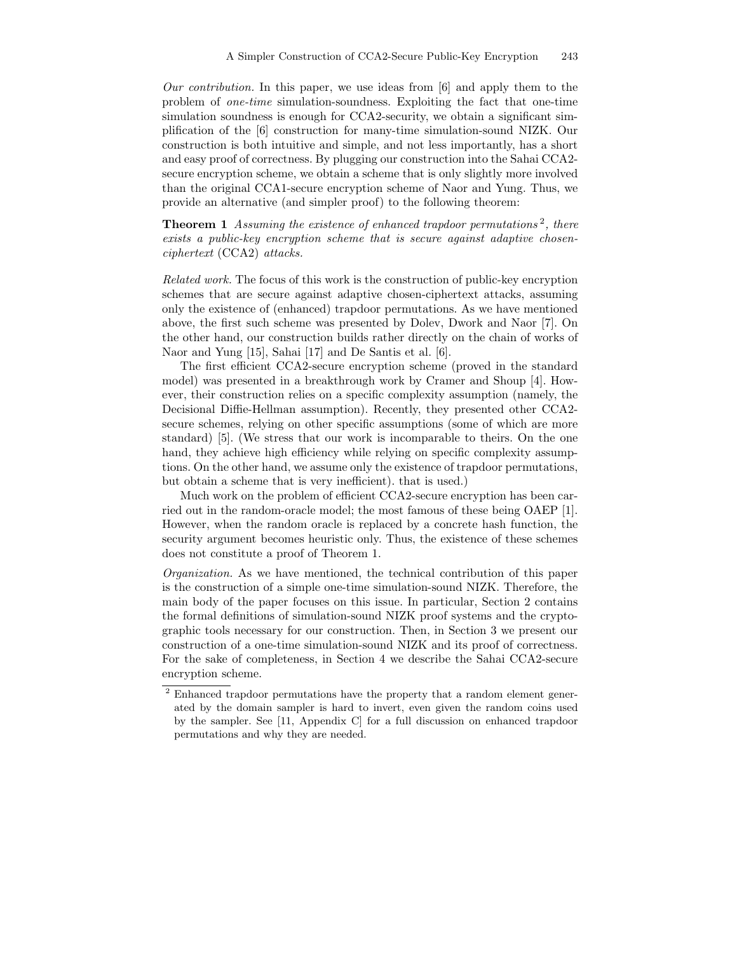Our contribution. In this paper, we use ideas from [6] and apply them to the problem of one-time simulation-soundness. Exploiting the fact that one-time simulation soundness is enough for CCA2-security, we obtain a significant simplification of the [6] construction for many-time simulation-sound NIZK. Our construction is both intuitive and simple, and not less importantly, has a short and easy proof of correctness. By plugging our construction into the Sahai CCA2 secure encryption scheme, we obtain a scheme that is only slightly more involved than the original CCA1-secure encryption scheme of Naor and Yung. Thus, we provide an alternative (and simpler proof) to the following theorem:

**Theorem 1** Assuming the existence of enhanced trapdoor permutations<sup>2</sup>, there exists a public-key encryption scheme that is secure against adaptive chosenciphertext (CCA2) attacks.

Related work. The focus of this work is the construction of public-key encryption schemes that are secure against adaptive chosen-ciphertext attacks, assuming only the existence of (enhanced) trapdoor permutations. As we have mentioned above, the first such scheme was presented by Dolev, Dwork and Naor [7]. On the other hand, our construction builds rather directly on the chain of works of Naor and Yung [15], Sahai [17] and De Santis et al. [6].

The first efficient CCA2-secure encryption scheme (proved in the standard model) was presented in a breakthrough work by Cramer and Shoup [4]. However, their construction relies on a specific complexity assumption (namely, the Decisional Diffie-Hellman assumption). Recently, they presented other CCA2 secure schemes, relying on other specific assumptions (some of which are more standard) [5]. (We stress that our work is incomparable to theirs. On the one hand, they achieve high efficiency while relying on specific complexity assumptions. On the other hand, we assume only the existence of trapdoor permutations, but obtain a scheme that is very inefficient). that is used.)

Much work on the problem of efficient CCA2-secure encryption has been carried out in the random-oracle model; the most famous of these being OAEP [1]. However, when the random oracle is replaced by a concrete hash function, the security argument becomes heuristic only. Thus, the existence of these schemes does not constitute a proof of Theorem 1.

Organization. As we have mentioned, the technical contribution of this paper is the construction of a simple one-time simulation-sound NIZK. Therefore, the main body of the paper focuses on this issue. In particular, Section 2 contains the formal definitions of simulation-sound NIZK proof systems and the cryptographic tools necessary for our construction. Then, in Section 3 we present our construction of a one-time simulation-sound NIZK and its proof of correctness. For the sake of completeness, in Section 4 we describe the Sahai CCA2-secure encryption scheme.

 $^{\rm 2}$  Enhanced trapdoor permutations have the property that a random element generated by the domain sampler is hard to invert, even given the random coins used by the sampler. See [11, Appendix C] for a full discussion on enhanced trapdoor permutations and why they are needed.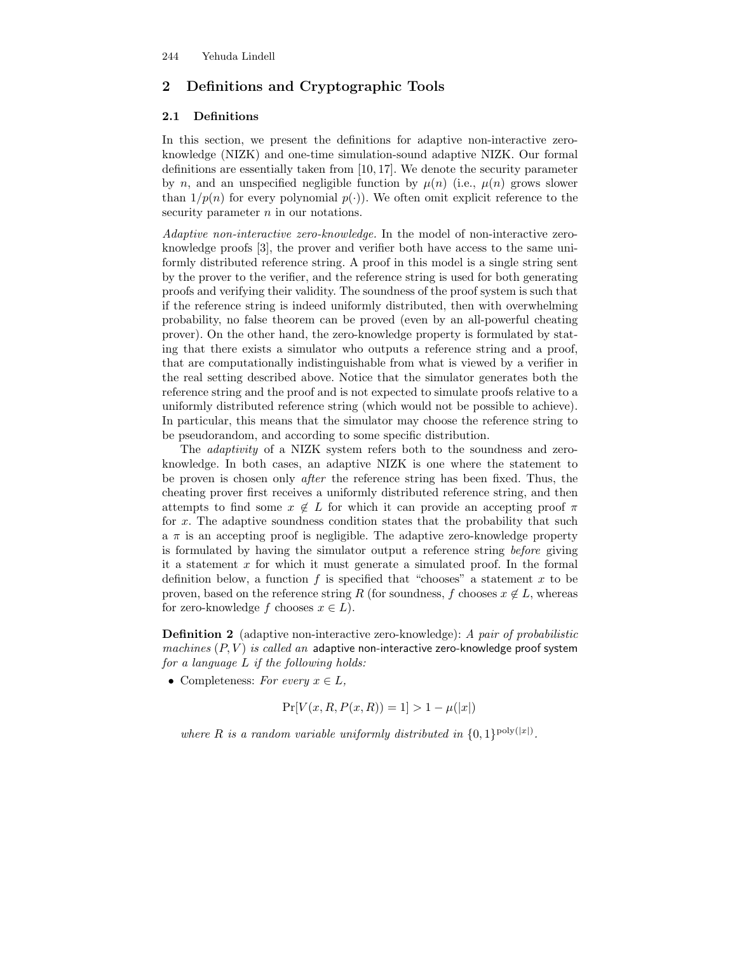# 2 Definitions and Cryptographic Tools

### 2.1 Definitions

In this section, we present the definitions for adaptive non-interactive zeroknowledge (NIZK) and one-time simulation-sound adaptive NIZK. Our formal definitions are essentially taken from [10, 17]. We denote the security parameter by n, and an unspecified negligible function by  $\mu(n)$  (i.e.,  $\mu(n)$  grows slower than  $1/p(n)$  for every polynomial  $p(\cdot)$ ). We often omit explicit reference to the security parameter  $n$  in our notations.

Adaptive non-interactive zero-knowledge. In the model of non-interactive zeroknowledge proofs [3], the prover and verifier both have access to the same uniformly distributed reference string. A proof in this model is a single string sent by the prover to the verifier, and the reference string is used for both generating proofs and verifying their validity. The soundness of the proof system is such that if the reference string is indeed uniformly distributed, then with overwhelming probability, no false theorem can be proved (even by an all-powerful cheating prover). On the other hand, the zero-knowledge property is formulated by stating that there exists a simulator who outputs a reference string and a proof, that are computationally indistinguishable from what is viewed by a verifier in the real setting described above. Notice that the simulator generates both the reference string and the proof and is not expected to simulate proofs relative to a uniformly distributed reference string (which would not be possible to achieve). In particular, this means that the simulator may choose the reference string to be pseudorandom, and according to some specific distribution.

The adaptivity of a NIZK system refers both to the soundness and zeroknowledge. In both cases, an adaptive NIZK is one where the statement to be proven is chosen only after the reference string has been fixed. Thus, the cheating prover first receives a uniformly distributed reference string, and then attempts to find some  $x \notin L$  for which it can provide an accepting proof  $\pi$ for x. The adaptive soundness condition states that the probability that such a  $\pi$  is an accepting proof is negligible. The adaptive zero-knowledge property is formulated by having the simulator output a reference string before giving it a statement  $x$  for which it must generate a simulated proof. In the formal definition below, a function  $f$  is specified that "chooses" a statement  $x$  to be proven, based on the reference string R (for soundness, f chooses  $x \notin L$ , whereas for zero-knowledge f chooses  $x \in L$ ).

Definition 2 (adaptive non-interactive zero-knowledge): A pair of probabilistic machines  $(P, V)$  is called an adaptive non-interactive zero-knowledge proof system for a language L if the following holds:

• Completeness: For every  $x \in L$ ,

$$
Pr[V(x, R, P(x, R)) = 1] > 1 - \mu(|x|)
$$

where R is a random variable uniformly distributed in  $\{0,1\}^{\text{poly}(|x|)}$ .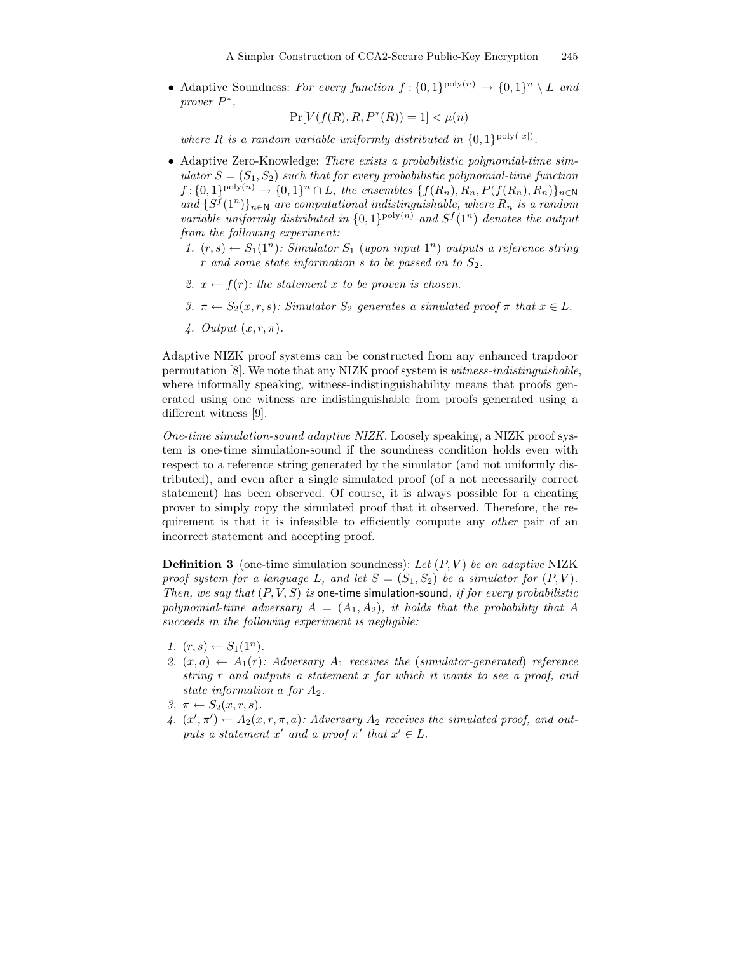• Adaptive Soundness: For every function  $f: \{0,1\}^{\text{poly}(n)} \to \{0,1\}^n \setminus L$  and prover  $P^*$ ,

$$
\Pr[V(f(R), R, P^*(R)) = 1] < \mu(n)
$$

where R is a random variable uniformly distributed in  $\{0,1\}^{\text{poly}(|x|)}$ .

- Adaptive Zero-Knowledge: There exists a probabilistic polynomial-time simulator  $S = (S_1, S_2)$  such that for every probabilistic polynomial-time function  $f: \{0,1\}^{\text{poly}(n)} \to \{0,1\}^n \cap L$ , the ensembles  $\{f(R_n), R_n, P(f(R_n), R_n)\}_{n \in \mathbb{N}}$ and  $\{S^f(1^n)\}_{n\in\mathbb{N}}$  are computational indistinguishable, where  $R_n$  is a random variable uniformly distributed in  $\{0,1\}^{\text{poly}(n)}$  and  $S^f(1^n)$  denotes the output from the following experiment:
	- 1.  $(r, s) \leftarrow S_1(1^n)$ : Simulator  $S_1$  (upon input  $1^n$ ) outputs a reference string r and some state information s to be passed on to  $S_2$ .
	- 2.  $x \leftarrow f(r)$ : the statement x to be proven is chosen.
	- 3.  $\pi \leftarrow S_2(x, r, s)$ : Simulator  $S_2$  generates a simulated proof  $\pi$  that  $x \in L$ .
	- 4. Output  $(x, r, \pi)$ .

Adaptive NIZK proof systems can be constructed from any enhanced trapdoor permutation [8]. We note that any NIZK proof system is witness-indistinguishable, where informally speaking, witness-indistinguishability means that proofs generated using one witness are indistinguishable from proofs generated using a different witness [9].

One-time simulation-sound adaptive NIZK. Loosely speaking, a NIZK proof system is one-time simulation-sound if the soundness condition holds even with respect to a reference string generated by the simulator (and not uniformly distributed), and even after a single simulated proof (of a not necessarily correct statement) has been observed. Of course, it is always possible for a cheating prover to simply copy the simulated proof that it observed. Therefore, the requirement is that it is infeasible to efficiently compute any other pair of an incorrect statement and accepting proof.

**Definition 3** (one-time simulation soundness): Let  $(P, V)$  be an adaptive NIZK proof system for a language L, and let  $S = (S_1, S_2)$  be a simulator for  $(P, V)$ . Then, we say that  $(P, V, S)$  is one-time simulation-sound, if for every probabilistic polynomial-time adversary  $A = (A_1, A_2)$ , it holds that the probability that A succeeds in the following experiment is negligible:

- 1.  $(r, s) \leftarrow S_1(1^n)$ .
- 2.  $(x, a) \leftarrow A_1(r)$ : Adversary  $A_1$  receives the (simulator-generated) reference string r and outputs a statement x for which it wants to see a proof, and state information a for  $A_2$ .
- 3.  $\pi \leftarrow S_2(x, r, s)$ .
- 4.  $(x', \pi') \leftarrow A_2(x, r, \pi, a)$ : Adversary  $A_2$  receives the simulated proof, and outputs a statement x' and a proof  $\pi'$  that  $x' \in L$ .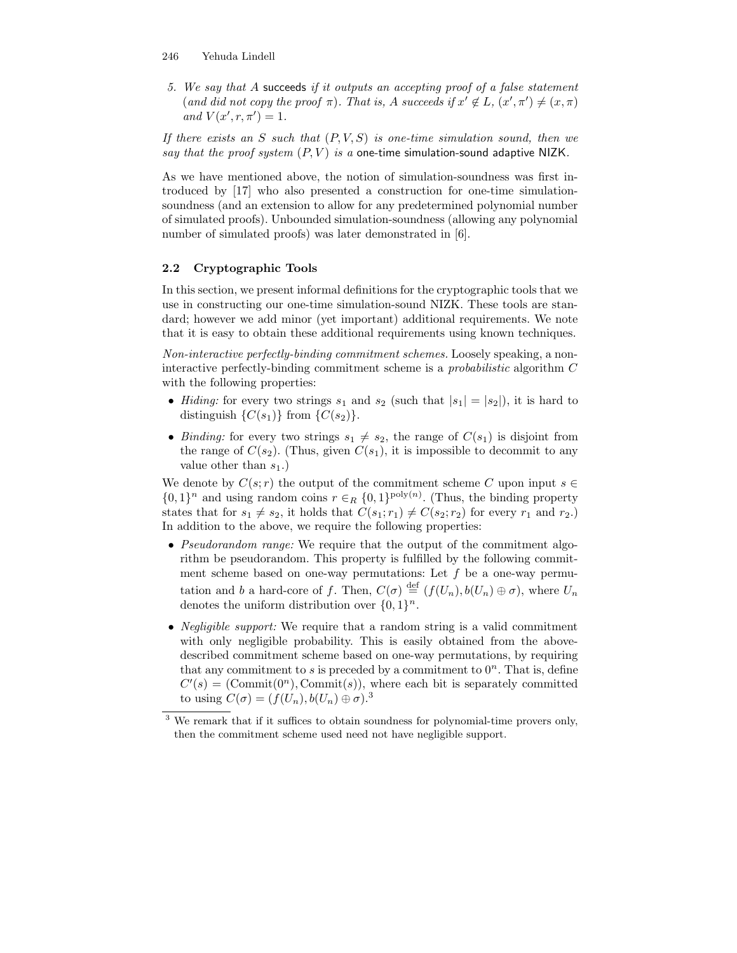- 246 Yehuda Lindell
- 5. We say that A succeeds if it outputs an accepting proof of a false statement (and did not copy the proof  $\pi$ ). That is, A succeeds if  $x' \notin L$ ,  $(x', \pi') \neq (x, \pi)$ and  $V(x', r, \pi') = 1$ .

If there exists an S such that  $(P, V, S)$  is one-time simulation sound, then we say that the proof system  $(P, V)$  is a one-time simulation-sound adaptive NIZK.

As we have mentioned above, the notion of simulation-soundness was first introduced by [17] who also presented a construction for one-time simulationsoundness (and an extension to allow for any predetermined polynomial number of simulated proofs). Unbounded simulation-soundness (allowing any polynomial number of simulated proofs) was later demonstrated in [6].

### 2.2 Cryptographic Tools

In this section, we present informal definitions for the cryptographic tools that we use in constructing our one-time simulation-sound NIZK. These tools are standard; however we add minor (yet important) additional requirements. We note that it is easy to obtain these additional requirements using known techniques.

Non-interactive perfectly-binding commitment schemes. Loosely speaking, a noninteractive perfectly-binding commitment scheme is a probabilistic algorithm C with the following properties:

- Hiding: for every two strings  $s_1$  and  $s_2$  (such that  $|s_1| = |s_2|$ ), it is hard to distinguish  $\{C(s_1)\}\$ from  $\{C(s_2)\}.$
- Binding: for every two strings  $s_1 \neq s_2$ , the range of  $C(s_1)$  is disjoint from the range of  $C(s_2)$ . (Thus, given  $C(s_1)$ , it is impossible to decommit to any value other than  $s_1$ .)

We denote by  $C(s; r)$  the output of the commitment scheme C upon input  $s \in$  $\{0,1\}^n$  and using random coins  $r \in_R \{0,1\}^{\text{poly}(n)}$ . (Thus, the binding property states that for  $s_1 \neq s_2$ , it holds that  $C(s_1; r_1) \neq C(s_2; r_2)$  for every  $r_1$  and  $r_2$ .) In addition to the above, we require the following properties:

- Pseudorandom range: We require that the output of the commitment algorithm be pseudorandom. This property is fulfilled by the following commitment scheme based on one-way permutations: Let  $f$  be a one-way permutation and b a hard-core of f. Then,  $C(\sigma) \stackrel{\text{def}}{=} (f(U_n), b(U_n) \oplus \sigma)$ , where  $U_n$ denotes the uniform distribution over  $\{0, 1\}^n$ .
- *Negligible support:* We require that a random string is a valid commitment with only negligible probability. This is easily obtained from the abovedescribed commitment scheme based on one-way permutations, by requiring that any commitment to  $s$  is preceded by a commitment to  $0<sup>n</sup>$ . That is, define  $C'(s) = (\text{Commit}(0^n), \text{Commit}(s)),$  where each bit is separately committed to using  $C(\sigma) = (f(U_n), b(U_n) \oplus \sigma)^3$ .

<sup>3</sup> We remark that if it suffices to obtain soundness for polynomial-time provers only, then the commitment scheme used need not have negligible support.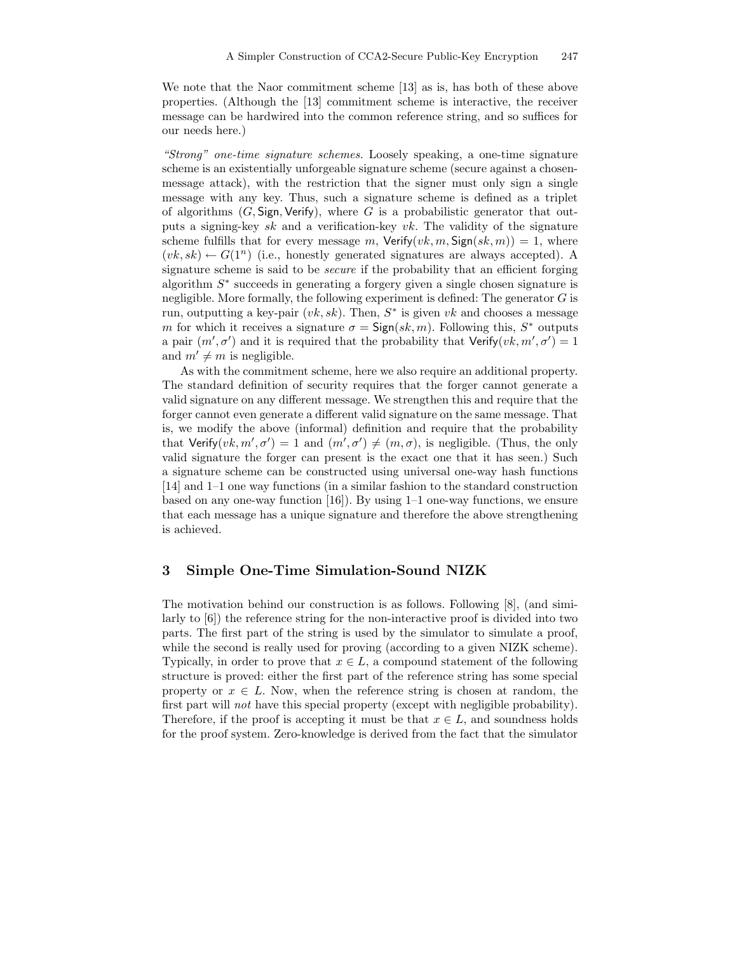We note that the Naor commitment scheme [13] as is, has both of these above properties. (Although the [13] commitment scheme is interactive, the receiver message can be hardwired into the common reference string, and so suffices for our needs here.)

"Strong" one-time signature schemes. Loosely speaking, a one-time signature scheme is an existentially unforgeable signature scheme (secure against a chosenmessage attack), with the restriction that the signer must only sign a single message with any key. Thus, such a signature scheme is defined as a triplet of algorithms  $(G,$  Sign, Verify), where G is a probabilistic generator that outputs a signing-key sk and a verification-key  $vk$ . The validity of the signature scheme fulfills that for every message m,  $Verify(vk, m, Sign(sk, m)) = 1$ , where  $(vk, sk) \leftarrow G(1^n)$  (i.e., honestly generated signatures are always accepted). A signature scheme is said to be *secure* if the probability that an efficient forging algorithm  $S^*$  succeeds in generating a forgery given a single chosen signature is negligible. More formally, the following experiment is defined: The generator  $G$  is run, outputting a key-pair  $(vk, sk)$ . Then,  $S^*$  is given  $vk$  and chooses a message m for which it receives a signature  $\sigma = \text{Sign}(sk, m)$ . Following this,  $S^*$  outputs a pair  $(m', \sigma')$  and it is required that the probability that Verify $(vk, m', \sigma') = 1$ and  $m' \neq m$  is negligible.

As with the commitment scheme, here we also require an additional property. The standard definition of security requires that the forger cannot generate a valid signature on any different message. We strengthen this and require that the forger cannot even generate a different valid signature on the same message. That is, we modify the above (informal) definition and require that the probability that Verify $(vk, m', \sigma') = 1$  and  $(m', \sigma') \neq (m, \sigma)$ , is negligible. (Thus, the only valid signature the forger can present is the exact one that it has seen.) Such a signature scheme can be constructed using universal one-way hash functions [14] and 1–1 one way functions (in a similar fashion to the standard construction based on any one-way function [16]). By using 1–1 one-way functions, we ensure that each message has a unique signature and therefore the above strengthening is achieved.

### 3 Simple One-Time Simulation-Sound NIZK

The motivation behind our construction is as follows. Following [8], (and similarly to [6]) the reference string for the non-interactive proof is divided into two parts. The first part of the string is used by the simulator to simulate a proof, while the second is really used for proving (according to a given NIZK scheme). Typically, in order to prove that  $x \in L$ , a compound statement of the following structure is proved: either the first part of the reference string has some special property or  $x \in L$ . Now, when the reference string is chosen at random, the first part will not have this special property (except with negligible probability). Therefore, if the proof is accepting it must be that  $x \in L$ , and soundness holds for the proof system. Zero-knowledge is derived from the fact that the simulator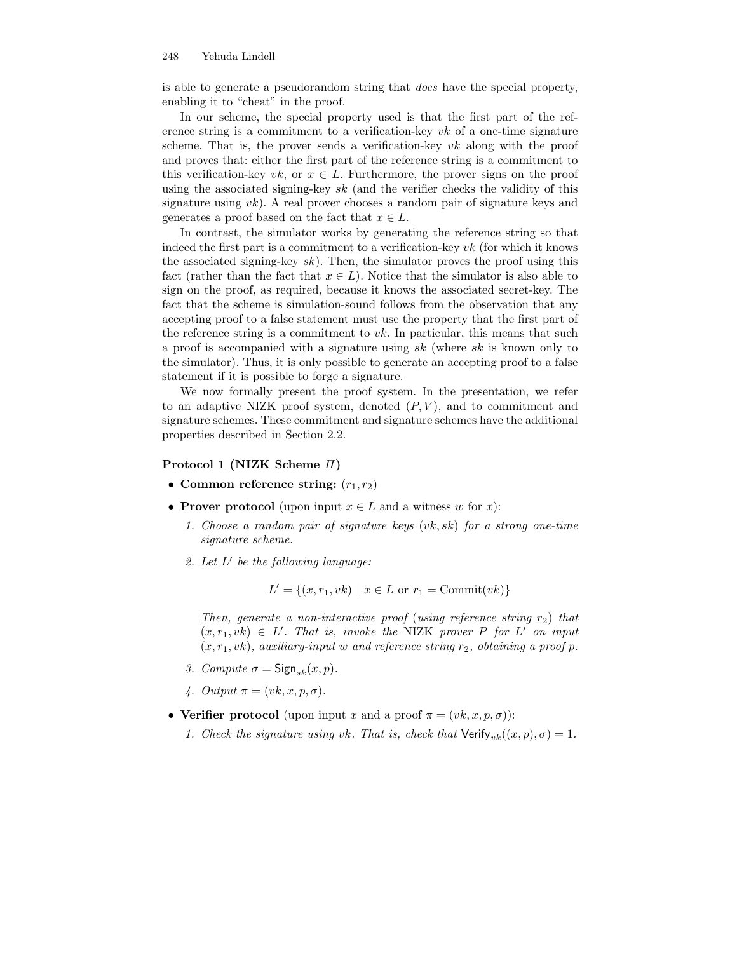#### 248 Yehuda Lindell

is able to generate a pseudorandom string that does have the special property, enabling it to "cheat" in the proof.

In our scheme, the special property used is that the first part of the reference string is a commitment to a verification-key  $vk$  of a one-time signature scheme. That is, the prover sends a verification-key  $vk$  along with the proof and proves that: either the first part of the reference string is a commitment to this verification-key vk, or  $x \in L$ . Furthermore, the prover signs on the proof using the associated signing-key  $sk$  (and the verifier checks the validity of this signature using  $vk$ ). A real prover chooses a random pair of signature keys and generates a proof based on the fact that  $x \in L$ .

In contrast, the simulator works by generating the reference string so that indeed the first part is a commitment to a verification-key  $vk$  (for which it knows the associated signing-key  $sk$ ). Then, the simulator proves the proof using this fact (rather than the fact that  $x \in L$ ). Notice that the simulator is also able to sign on the proof, as required, because it knows the associated secret-key. The fact that the scheme is simulation-sound follows from the observation that any accepting proof to a false statement must use the property that the first part of the reference string is a commitment to  $vk$ . In particular, this means that such a proof is accompanied with a signature using sk (where sk is known only to the simulator). Thus, it is only possible to generate an accepting proof to a false statement if it is possible to forge a signature.

We now formally present the proof system. In the presentation, we refer to an adaptive NIZK proof system, denoted  $(P, V)$ , and to commitment and signature schemes. These commitment and signature schemes have the additional properties described in Section 2.2.

### Protocol 1 (NIZK Scheme Π)

- Common reference string:  $(r_1, r_2)$
- Prover protocol (upon input  $x \in L$  and a witness w for x):
	- 1. Choose a random pair of signature keys (vk, sk) for a strong one-time signature scheme.
	- 2. Let  $L'$  be the following language:

$$
L' = \{(x, r_1, vk) \mid x \in L \text{ or } r_1 = \text{Commit}(vk)\}\
$$

Then, generate a non-interactive proof (using reference string  $r_2$ ) that  $(x, r_1, vk) \in L'.$  That is, invoke the NIZK prover P for L' on input  $(x, r_1, vk)$ , auxiliary-input w and reference string  $r_2$ , obtaining a proof p.

- 3. Compute  $\sigma = \text{Sign}_{sk}(x, p)$ .
- 4. Output  $\pi = (vk, x, p, \sigma)$ .
- Verifier protocol (upon input x and a proof  $\pi = (vk, x, p, \sigma)$ ):
	- 1. Check the signature using vk. That is, check that  $\text{Verify}_{vk}((x, p), \sigma) = 1$ .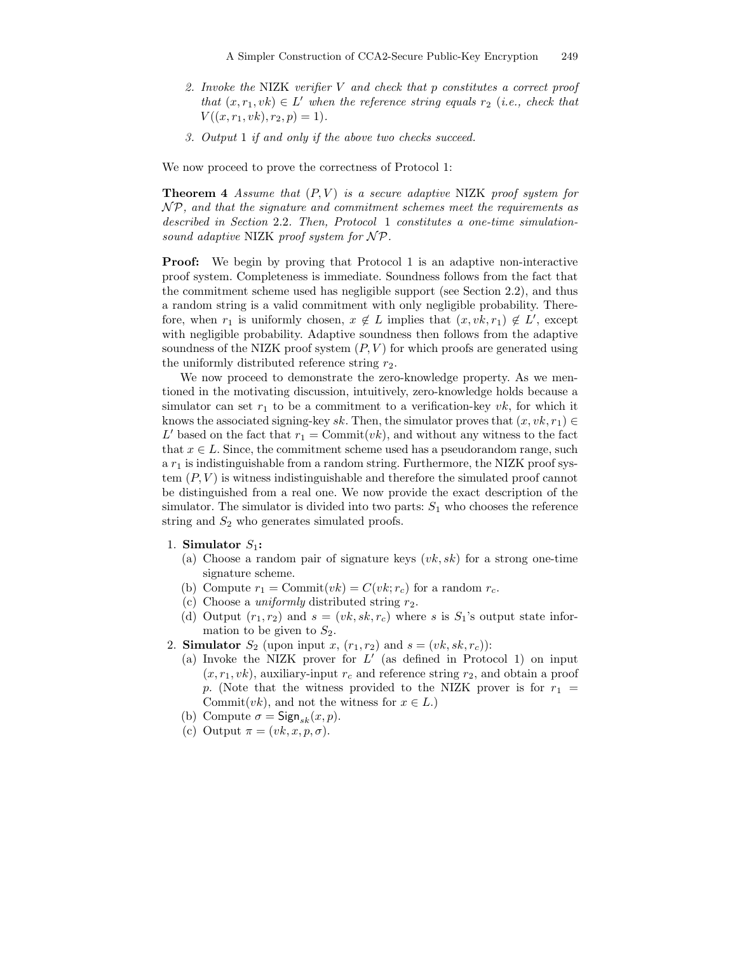- 2. Invoke the NIZK verifier V and check that p constitutes a correct proof that  $(x, r_1, vk) \in L'$  when the reference string equals  $r_2$  (i.e., check that  $V((x, r_1, vk), r_2, p) = 1$ .
- 3. Output 1 if and only if the above two checks succeed.

We now proceed to prove the correctness of Protocol 1:

**Theorem 4** Assume that  $(P, V)$  is a secure adaptive NIZK proof system for  $\mathcal{NP}$ , and that the signature and commitment schemes meet the requirements as described in Section 2.2. Then, Protocol 1 constitutes a one-time simulationsound adaptive NIZK proof system for  $\mathcal{NP}$ .

**Proof:** We begin by proving that Protocol 1 is an adaptive non-interactive proof system. Completeness is immediate. Soundness follows from the fact that the commitment scheme used has negligible support (see Section 2.2), and thus a random string is a valid commitment with only negligible probability. Therefore, when  $r_1$  is uniformly chosen,  $x \notin L$  implies that  $(x, vk, r_1) \notin L'$ , except with negligible probability. Adaptive soundness then follows from the adaptive soundness of the NIZK proof system  $(P, V)$  for which proofs are generated using the uniformly distributed reference string  $r_2$ .

We now proceed to demonstrate the zero-knowledge property. As we mentioned in the motivating discussion, intuitively, zero-knowledge holds because a simulator can set  $r_1$  to be a commitment to a verification-key vk, for which it knows the associated signing-key sk. Then, the simulator proves that  $(x, vk, r_1) \in$ L' based on the fact that  $r_1 = \text{Commit}(vk)$ , and without any witness to the fact that  $x \in L$ . Since, the commitment scheme used has a pseudorandom range, such a  $r_1$  is indistinguishable from a random string. Furthermore, the NIZK proof system  $(P, V)$  is witness indistinguishable and therefore the simulated proof cannot be distinguished from a real one. We now provide the exact description of the simulator. The simulator is divided into two parts:  $S_1$  who chooses the reference string and  $S_2$  who generates simulated proofs.

### 1. Simulator  $S_1$ :

- (a) Choose a random pair of signature keys  $(vk, sk)$  for a strong one-time signature scheme.
- (b) Compute  $r_1 = \text{Commit}(vk) = C(vk; r_c)$  for a random  $r_c$ .
- (c) Choose a *uniformly* distributed string  $r_2$ .
- (d) Output  $(r_1, r_2)$  and  $s = (vk, sk, r_c)$  where s is  $S_1$ 's output state information to be given to  $S_2$ .
- 2. Simulator  $S_2$  (upon input x,  $(r_1, r_2)$  and  $s = (vk, sk, r_c)$ ):
	- (a) Invoke the NIZK prover for  $L'$  (as defined in Protocol 1) on input  $(x, r_1, vk)$ , auxiliary-input  $r_c$  and reference string  $r_2$ , and obtain a proof p. (Note that the witness provided to the NIZK prover is for  $r_1 =$ Commit $(vk)$ , and not the witness for  $x \in L$ .)
	- (b) Compute  $\sigma = \mathsf{Sign}_{sk}(x, p)$ .
	- (c) Output  $\pi = (vk, x, p, \sigma)$ .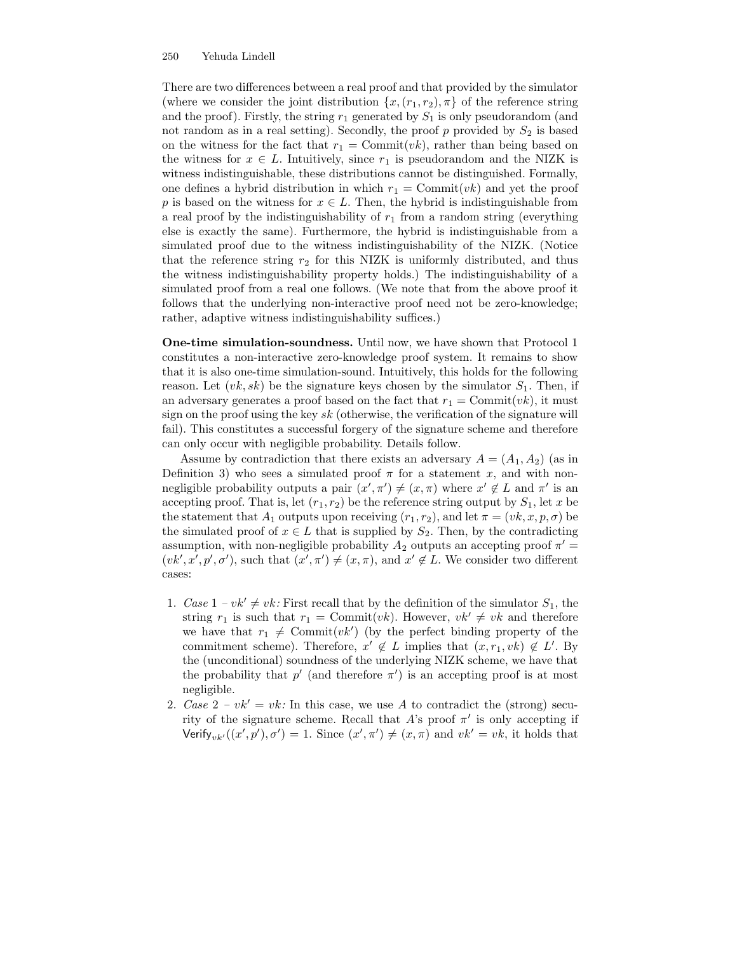#### 250 Yehuda Lindell

There are two differences between a real proof and that provided by the simulator (where we consider the joint distribution  $\{x,(r_1,r_2),\pi\}$  of the reference string and the proof). Firstly, the string  $r_1$  generated by  $S_1$  is only pseudorandom (and not random as in a real setting). Secondly, the proof  $p$  provided by  $S_2$  is based on the witness for the fact that  $r_1 = \text{Commit}(vk)$ , rather than being based on the witness for  $x \in L$ . Intuitively, since  $r_1$  is pseudorandom and the NIZK is witness indistinguishable, these distributions cannot be distinguished. Formally, one defines a hybrid distribution in which  $r_1 = \text{Commit}(vk)$  and yet the proof p is based on the witness for  $x \in L$ . Then, the hybrid is indistinguishable from a real proof by the indistinguishability of  $r_1$  from a random string (everything else is exactly the same). Furthermore, the hybrid is indistinguishable from a simulated proof due to the witness indistinguishability of the NIZK. (Notice that the reference string  $r_2$  for this NIZK is uniformly distributed, and thus the witness indistinguishability property holds.) The indistinguishability of a simulated proof from a real one follows. (We note that from the above proof it follows that the underlying non-interactive proof need not be zero-knowledge; rather, adaptive witness indistinguishability suffices.)

One-time simulation-soundness. Until now, we have shown that Protocol 1 constitutes a non-interactive zero-knowledge proof system. It remains to show that it is also one-time simulation-sound. Intuitively, this holds for the following reason. Let  $(vk, sk)$  be the signature keys chosen by the simulator  $S_1$ . Then, if an adversary generates a proof based on the fact that  $r_1 = \text{Commit}(vk)$ , it must sign on the proof using the key  $sk$  (otherwise, the verification of the signature will fail). This constitutes a successful forgery of the signature scheme and therefore can only occur with negligible probability. Details follow.

Assume by contradiction that there exists an adversary  $A = (A_1, A_2)$  (as in Definition 3) who sees a simulated proof  $\pi$  for a statement x, and with nonnegligible probability outputs a pair  $(x', \pi') \neq (x, \pi)$  where  $x' \notin L$  and  $\pi'$  is an accepting proof. That is, let  $(r_1, r_2)$  be the reference string output by  $S_1$ , let x be the statement that  $A_1$  outputs upon receiving  $(r_1, r_2)$ , and let  $\pi = (vk, x, p, \sigma)$  be the simulated proof of  $x \in L$  that is supplied by  $S_2$ . Then, by the contradicting assumption, with non-negligible probability  $A_2$  outputs an accepting proof  $\pi'$  =  $(vk', x', p', \sigma')$ , such that  $(x', \pi') \neq (x, \pi)$ , and  $x' \notin L$ . We consider two different cases:

- 1. Case  $1 vk' \neq vk$ : First recall that by the definition of the simulator  $S_1$ , the string  $r_1$  is such that  $r_1 = \text{Commit}(vk)$ . However,  $vk' \neq vk$  and therefore we have that  $r_1 \neq \text{Commit}(vk')$  (by the perfect binding property of the commitment scheme). Therefore,  $x' \notin L$  implies that  $(x, r_1, vk) \notin L'$ . By the (unconditional) soundness of the underlying NIZK scheme, we have that the probability that  $p'$  (and therefore  $\pi'$ ) is an accepting proof is at most negligible.
- 2. Case  $2 vk' = vk$ : In this case, we use A to contradict the (strong) security of the signature scheme. Recall that A's proof  $\pi'$  is only accepting if Verify<sub>vk'</sub>((x', p'),  $\sigma'$ ) = 1. Since (x',  $\pi'$ )  $\neq$  (x,  $\pi$ ) and vk' = vk, it holds that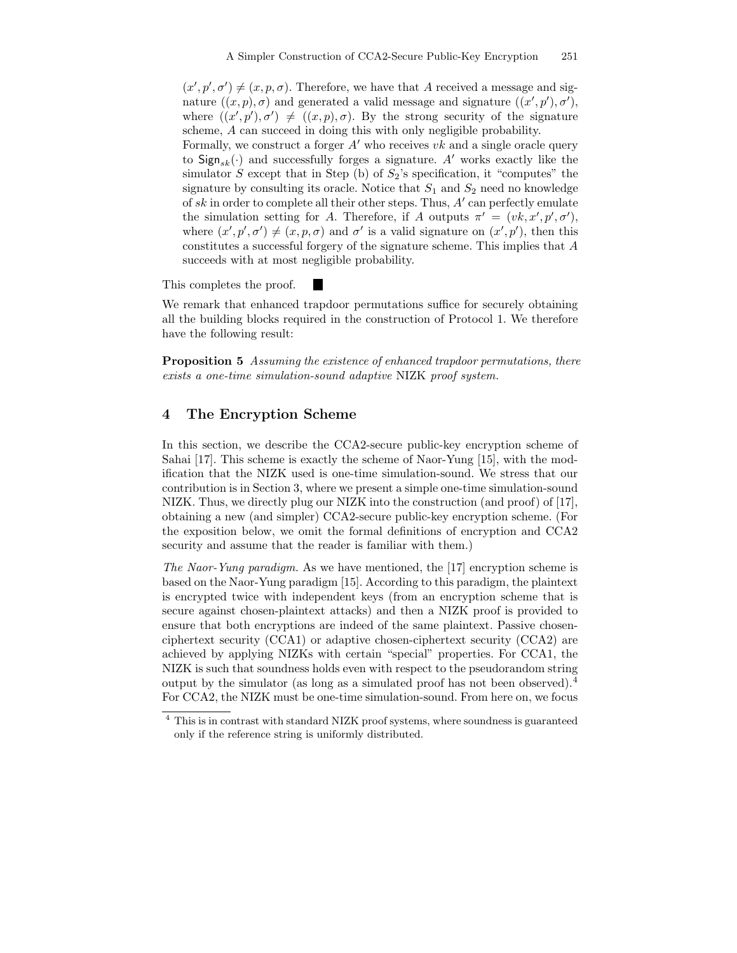$(x', p', \sigma') \neq (x, p, \sigma)$ . Therefore, we have that A received a message and signature  $((x, p), \sigma)$  and generated a valid message and signature  $((x', p'), \sigma')$ , where  $((x', p'), \sigma') \neq ((x, p), \sigma)$ . By the strong security of the signature scheme, A can succeed in doing this with only negligible probability. Formally, we construct a forger  $A'$  who receives  $vk$  and a single oracle query to  $\text{Sign}_{sk}(\cdot)$  and successfully forges a signature. A' works exactly like the simulator S except that in Step (b) of  $S_2$ 's specification, it "computes" the signature by consulting its oracle. Notice that  $S_1$  and  $S_2$  need no knowledge of  $sk$  in order to complete all their other steps. Thus,  $A'$  can perfectly emulate the simulation setting for A. Therefore, if A outputs  $\pi' = (vk, x', p', \sigma'),$ where  $(x', p', \sigma') \neq (x, p, \sigma)$  and  $\sigma'$  is a valid signature on  $(x', p')$ , then this constitutes a successful forgery of the signature scheme. This implies that A succeeds with at most negligible probability.

This completes the proof.

We remark that enhanced trapdoor permutations suffice for securely obtaining all the building blocks required in the construction of Protocol 1. We therefore have the following result:

Proposition 5 Assuming the existence of enhanced trapdoor permutations, there exists a one-time simulation-sound adaptive NIZK proof system.

### 4 The Encryption Scheme

In this section, we describe the CCA2-secure public-key encryption scheme of Sahai [17]. This scheme is exactly the scheme of Naor-Yung [15], with the modification that the NIZK used is one-time simulation-sound. We stress that our contribution is in Section 3, where we present a simple one-time simulation-sound NIZK. Thus, we directly plug our NIZK into the construction (and proof) of [17], obtaining a new (and simpler) CCA2-secure public-key encryption scheme. (For the exposition below, we omit the formal definitions of encryption and CCA2 security and assume that the reader is familiar with them.)

The Naor-Yung paradigm. As we have mentioned, the [17] encryption scheme is based on the Naor-Yung paradigm [15]. According to this paradigm, the plaintext is encrypted twice with independent keys (from an encryption scheme that is secure against chosen-plaintext attacks) and then a NIZK proof is provided to ensure that both encryptions are indeed of the same plaintext. Passive chosenciphertext security (CCA1) or adaptive chosen-ciphertext security (CCA2) are achieved by applying NIZKs with certain "special" properties. For CCA1, the NIZK is such that soundness holds even with respect to the pseudorandom string output by the simulator (as long as a simulated proof has not been observed).<sup>4</sup> For CCA2, the NIZK must be one-time simulation-sound. From here on, we focus

 $^4\,$  This is in contrast with standard NIZK proof systems, where soundness is guaranteed only if the reference string is uniformly distributed.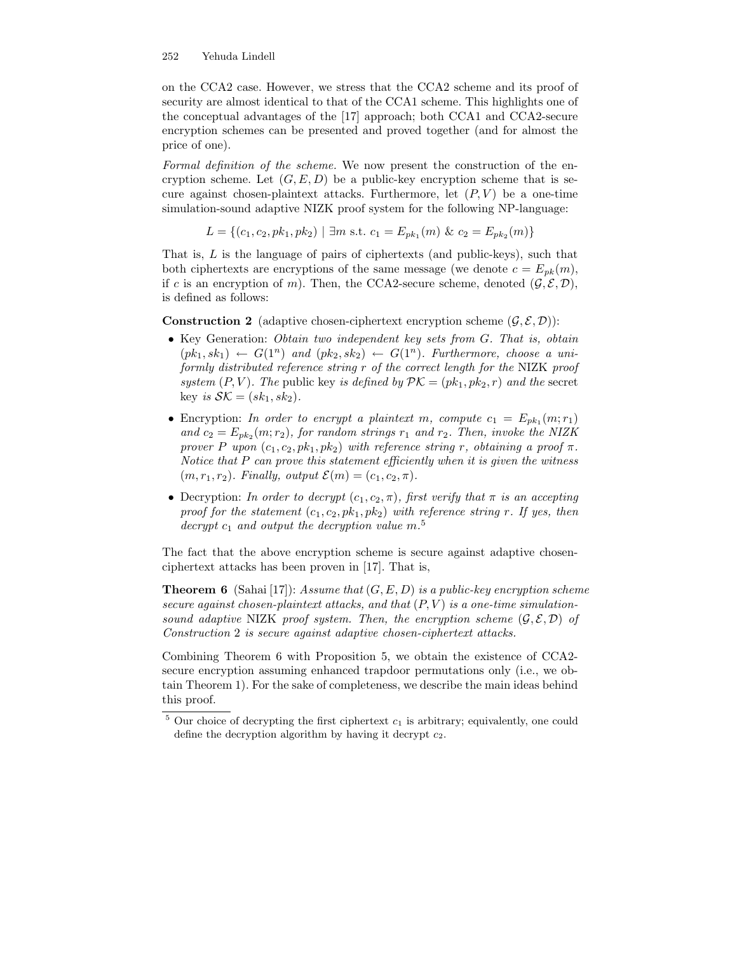on the CCA2 case. However, we stress that the CCA2 scheme and its proof of security are almost identical to that of the CCA1 scheme. This highlights one of the conceptual advantages of the [17] approach; both CCA1 and CCA2-secure encryption schemes can be presented and proved together (and for almost the price of one).

Formal definition of the scheme. We now present the construction of the encryption scheme. Let  $(G, E, D)$  be a public-key encryption scheme that is secure against chosen-plaintext attacks. Furthermore, let  $(P, V)$  be a one-time simulation-sound adaptive NIZK proof system for the following NP-language:

 $L = \{(c_1, c_2, pk_1, pk_2) \mid \exists m \text{ s.t. } c_1 = E_{pk_1}(m) \& c_2 = E_{pk_2}(m)\}\$ 

That is, L is the language of pairs of ciphertexts (and public-keys), such that both ciphertexts are encryptions of the same message (we denote  $c = E_{nk}(m)$ , if c is an encryption of m). Then, the CCA2-secure scheme, denoted  $(\mathcal{G}, \mathcal{E}, \mathcal{D})$ , is defined as follows:

**Construction 2** (adaptive chosen-ciphertext encryption scheme  $(\mathcal{G}, \mathcal{E}, \mathcal{D})$ ):

- Key Generation: *Obtain two independent key sets from G. That is, obtain*  $(pk_1, sk_1) \leftarrow G(1^n)$  and  $(pk_2, sk_2) \leftarrow G(1^n)$ . Furthermore, choose a uniformly distributed reference string r of the correct length for the NIZK proof system  $(P, V)$ . The public key is defined by  $\mathcal{PK} = (pk_1, pk_2, r)$  and the secret key is  $\mathcal{SK} = (sk_1, sk_2).$
- Encryption: In order to encrypt a plaintext m, compute  $c_1 = E_{pk_1}(m; r_1)$ and  $c_2 = E_{pk_2}(m; r_2)$ , for random strings  $r_1$  and  $r_2$ . Then, invoke the NIZK prover P upon  $(c_1, c_2, pk_1, pk_2)$  with reference string r, obtaining a proof  $\pi$ . Notice that  $P$  can prove this statement efficiently when it is given the witness  $(m, r_1, r_2)$ . Finally, output  $\mathcal{E}(m) = (c_1, c_2, \pi)$ .
- Decryption: In order to decrypt  $(c_1, c_2, \pi)$ , first verify that  $\pi$  is an accepting proof for the statement  $(c_1, c_2, pk_1, pk_2)$  with reference string r. If yes, then decrypt  $c_1$  and output the decryption value  $m<sup>5</sup>$

The fact that the above encryption scheme is secure against adaptive chosenciphertext attacks has been proven in [17]. That is,

**Theorem 6** (Sahai [17]): Assume that  $(G, E, D)$  is a public-key encryption scheme secure against chosen-plaintext attacks, and that  $(P, V)$  is a one-time simulationsound adaptive NIZK proof system. Then, the encryption scheme  $(\mathcal{G}, \mathcal{E}, \mathcal{D})$  of Construction 2 is secure against adaptive chosen-ciphertext attacks.

Combining Theorem 6 with Proposition 5, we obtain the existence of CCA2 secure encryption assuming enhanced trapdoor permutations only (i.e., we obtain Theorem 1). For the sake of completeness, we describe the main ideas behind this proof.

 $5$  Our choice of decrypting the first ciphertext  $c_1$  is arbitrary; equivalently, one could define the decryption algorithm by having it decrypt  $c_2$ .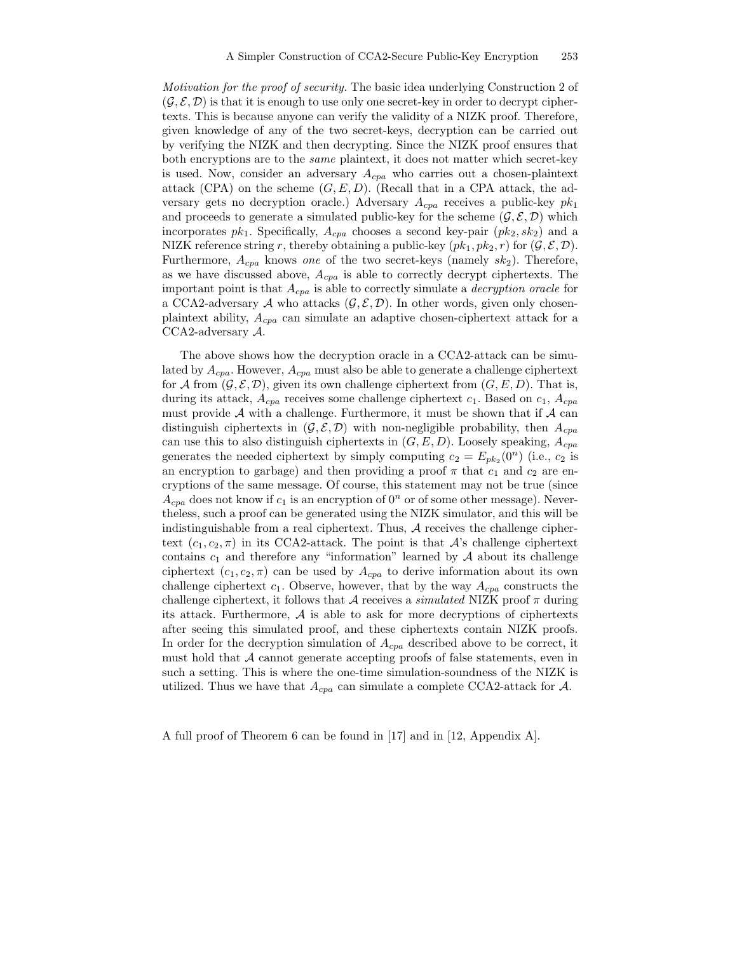Motivation for the proof of security. The basic idea underlying Construction 2 of  $(\mathcal{G}, \mathcal{E}, \mathcal{D})$  is that it is enough to use only one secret-key in order to decrypt ciphertexts. This is because anyone can verify the validity of a NIZK proof. Therefore, given knowledge of any of the two secret-keys, decryption can be carried out by verifying the NIZK and then decrypting. Since the NIZK proof ensures that both encryptions are to the same plaintext, it does not matter which secret-key is used. Now, consider an adversary  $A_{cpa}$  who carries out a chosen-plaintext attack (CPA) on the scheme  $(G, E, D)$ . (Recall that in a CPA attack, the adversary gets no decryption oracle.) Adversary  $A_{cpa}$  receives a public-key  $pk<sub>1</sub>$ and proceeds to generate a simulated public-key for the scheme  $(\mathcal G,\mathcal E,\mathcal D)$  which incorporates  $pk_1$ . Specifically,  $A_{cpa}$  chooses a second key-pair  $(pk_2, sk_2)$  and a NIZK reference string r, thereby obtaining a public-key  $(pk_1, pk_2, r)$  for  $(G, \mathcal{E}, \mathcal{D})$ . Furthermore,  $A_{cpa}$  knows one of the two secret-keys (namely  $sk_2$ ). Therefore, as we have discussed above,  $A_{cpa}$  is able to correctly decrypt ciphertexts. The important point is that  $A_{cpa}$  is able to correctly simulate a *decryption oracle* for a CCA2-adversary A who attacks  $(\mathcal{G}, \mathcal{E}, \mathcal{D})$ . In other words, given only chosenplaintext ability,  $A_{cpa}$  can simulate an adaptive chosen-ciphertext attack for a CCA2-adversary A.

The above shows how the decryption oracle in a CCA2-attack can be simulated by  $A_{cpa}$ . However,  $A_{cpa}$  must also be able to generate a challenge ciphertext for A from  $(\mathcal{G}, \mathcal{E}, \mathcal{D})$ , given its own challenge ciphertext from  $(G, E, D)$ . That is, during its attack,  $A_{cpa}$  receives some challenge ciphertext  $c_1$ . Based on  $c_1$ ,  $A_{cpa}$ must provide  $A$  with a challenge. Furthermore, it must be shown that if  $A$  can distinguish ciphertexts in  $(\mathcal{G}, \mathcal{E}, \mathcal{D})$  with non-negligible probability, then  $A_{cpa}$ can use this to also distinguish ciphertexts in  $(G, E, D)$ . Loosely speaking,  $A_{cpa}$ generates the needed ciphertext by simply computing  $c_2 = E_{pk_2}(0^n)$  (i.e.,  $c_2$  is an encryption to garbage) and then providing a proof  $\pi$  that  $c_1$  and  $c_2$  are encryptions of the same message. Of course, this statement may not be true (since  $A_{cpa}$  does not know if  $c_1$  is an encryption of  $0^n$  or of some other message). Nevertheless, such a proof can be generated using the NIZK simulator, and this will be indistinguishable from a real ciphertext. Thus,  $A$  receives the challenge ciphertext  $(c_1, c_2, \pi)$  in its CCA2-attack. The point is that A's challenge ciphertext contains  $c_1$  and therefore any "information" learned by  $A$  about its challenge ciphertext  $(c_1, c_2, \pi)$  can be used by  $A_{cpa}$  to derive information about its own challenge ciphertext  $c_1$ . Observe, however, that by the way  $A_{cpa}$  constructs the challenge ciphertext, it follows that A receives a simulated NIZK proof  $\pi$  during its attack. Furthermore,  $A$  is able to ask for more decryptions of ciphertexts after seeing this simulated proof, and these ciphertexts contain NIZK proofs. In order for the decryption simulation of  $A_{cpa}$  described above to be correct, it must hold that A cannot generate accepting proofs of false statements, even in such a setting. This is where the one-time simulation-soundness of the NIZK is utilized. Thus we have that  $A_{cpa}$  can simulate a complete CCA2-attack for A.

A full proof of Theorem 6 can be found in [17] and in [12, Appendix A].